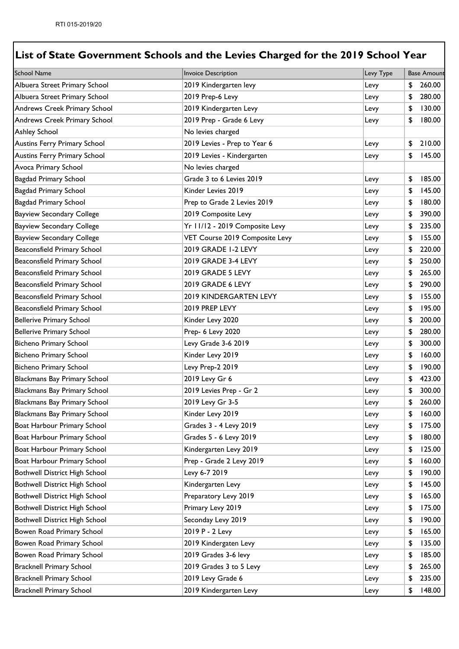| <b>School Name</b>                  | Invoice Description            | Levy Type | <b>Base Amount</b> |
|-------------------------------------|--------------------------------|-----------|--------------------|
| Albuera Street Primary School       | 2019 Kindergarten levy         | Levy      | \$<br>260.00       |
| Albuera Street Primary School       | 2019 Prep-6 Levy               | Levy      | \$<br>280.00       |
| Andrews Creek Primary School        | 2019 Kindergarten Levy         | Levy      | \$<br>130.00       |
| Andrews Creek Primary School        | 2019 Prep - Grade 6 Levy       | Levy      | \$<br>180.00       |
| <b>Ashley School</b>                | No levies charged              |           |                    |
| <b>Austins Ferry Primary School</b> | 2019 Levies - Prep to Year 6   | Levy      | \$<br>210.00       |
| <b>Austins Ferry Primary School</b> | 2019 Levies - Kindergarten     | Levy      | \$<br>145.00       |
| Avoca Primary School                | No levies charged              |           |                    |
| <b>Bagdad Primary School</b>        | Grade 3 to 6 Levies 2019       | Levy      | \$<br>185.00       |
| Bagdad Primary School               | Kinder Levies 2019             | Levy      | \$<br>145.00       |
| <b>Bagdad Primary School</b>        | Prep to Grade 2 Levies 2019    | Levy      | \$<br>180.00       |
| <b>Bayview Secondary College</b>    | 2019 Composite Levy            | Levy      | \$<br>390.00       |
| <b>Bayview Secondary College</b>    | Yr 11/12 - 2019 Composite Levy | Levy      | \$<br>235.00       |
| <b>Bayview Secondary College</b>    | VET Course 2019 Composite Levy | Levy      | \$<br>155.00       |
| Beaconsfield Primary School         | 2019 GRADE 1-2 LEVY            | Levy      | \$<br>220.00       |
| Beaconsfield Primary School         | 2019 GRADE 3-4 LEVY            | Levy      | \$<br>250.00       |
| Beaconsfield Primary School         | 2019 GRADE 5 LEVY              | Levy      | \$<br>265.00       |
| Beaconsfield Primary School         | 2019 GRADE 6 LEVY              | Levy      | \$<br>290.00       |
| Beaconsfield Primary School         | 2019 KINDERGARTEN LEVY         | Levy      | \$<br>155.00       |
| Beaconsfield Primary School         | 2019 PREP LEVY                 | Levy      | \$<br>195.00       |
| <b>Bellerive Primary School</b>     | Kinder Levy 2020               | Levy      | \$<br>200.00       |
| <b>Bellerive Primary School</b>     | Prep- 6 Levy 2020              | Levy      | \$<br>280.00       |
| <b>Bicheno Primary School</b>       | Levy Grade 3-6 2019            | Levy      | \$<br>300.00       |
| <b>Bicheno Primary School</b>       | Kinder Levy 2019               | Levy      | \$<br>160.00       |
| <b>Bicheno Primary School</b>       | Levy Prep-2 2019               | Levy      | \$<br>190.00       |
| Blackmans Bay Primary School        | 2019 Levy Gr 6                 | Levy      | \$<br>423.00       |
| <b>Blackmans Bay Primary School</b> | 2019 Levies Prep - Gr 2        | Levy      | \$<br>300.00       |
| Blackmans Bay Primary School        | 2019 Levy Gr 3-5               | Levy      | \$<br>260.00       |
| Blackmans Bay Primary School        | Kinder Levy 2019               | Levy      | \$<br>160.00       |
| Boat Harbour Primary School         | Grades 3 - 4 Levy 2019         | Levy      | \$<br>175.00       |
| Boat Harbour Primary School         | Grades 5 - 6 Levy 2019         | Levy      | \$<br>180.00       |
| Boat Harbour Primary School         | Kindergarten Levy 2019         | Levy      | \$<br>125.00       |
| Boat Harbour Primary School         | Prep - Grade 2 Levy 2019       | Levy      | \$<br>160.00       |
| Bothwell District High School       | Levy 6-7 2019                  | Levy      | \$<br>190.00       |
| Bothwell District High School       | Kindergarten Levy              | Levy      | \$<br>145.00       |
| Bothwell District High School       | Preparatory Levy 2019          | Levy      | \$<br>165.00       |
| Bothwell District High School       | Primary Levy 2019              | Levy      | \$<br>175.00       |
| Bothwell District High School       | Seconday Levy 2019             | Levy      | \$<br>190.00       |
| Bowen Road Primary School           | 2019 P - 2 Levy                | Levy      | \$<br>165.00       |
| Bowen Road Primary School           | 2019 Kindergaten Levy          | Levy      | \$<br>135.00       |
| Bowen Road Primary School           | 2019 Grades 3-6 levy           | Levy      | \$<br>185.00       |
| <b>Bracknell Primary School</b>     | 2019 Grades 3 to 5 Levy        | Levy      | \$<br>265.00       |
| <b>Bracknell Primary School</b>     | 2019 Levy Grade 6              | Levy      | \$<br>235.00       |
| <b>Bracknell Primary School</b>     | 2019 Kindergarten Levy         | Levy      | \$<br>148.00       |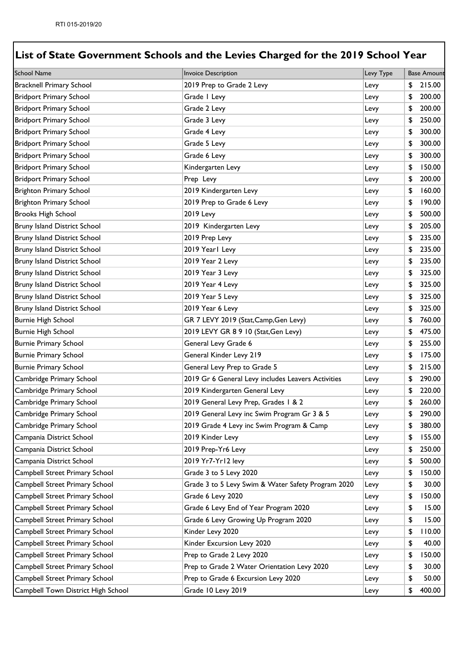| <b>School Name</b>                  | <b>Invoice Description</b>                         | Levy Type | <b>Base Amount</b> |
|-------------------------------------|----------------------------------------------------|-----------|--------------------|
| <b>Bracknell Primary School</b>     | 2019 Prep to Grade 2 Levy                          | Levy      | \$<br>215.00       |
| <b>Bridport Primary School</b>      | Grade I Levy                                       | Levy      | \$<br>200.00       |
| <b>Bridport Primary School</b>      | Grade 2 Levy                                       | Levy      | \$<br>200.00       |
| <b>Bridport Primary School</b>      | Grade 3 Levy                                       | Levy      | \$<br>250.00       |
| <b>Bridport Primary School</b>      | Grade 4 Levy                                       | Levy      | \$<br>300.00       |
| <b>Bridport Primary School</b>      | Grade 5 Levy                                       | Levy      | \$<br>300.00       |
| <b>Bridport Primary School</b>      | Grade 6 Levy                                       | Levy      | \$<br>300.00       |
| <b>Bridport Primary School</b>      | Kindergarten Levy                                  | Levy      | \$<br>150.00       |
| <b>Bridport Primary School</b>      | Prep Levy                                          | Levy      | \$<br>200.00       |
| <b>Brighton Primary School</b>      | 2019 Kindergarten Levy                             | Levy      | \$<br>160.00       |
| <b>Brighton Primary School</b>      | 2019 Prep to Grade 6 Levy                          | Levy      | \$<br>190.00       |
| <b>Brooks High School</b>           | <b>2019 Levy</b>                                   | Levy      | \$<br>500.00       |
| Bruny Island District School        | 2019 Kindergarten Levy                             | Levy      | \$<br>205.00       |
| <b>Bruny Island District School</b> | 2019 Prep Levy                                     | Levy      | \$<br>235.00       |
| Bruny Island District School        | 2019 Yearl Levy                                    | Levy      | \$<br>235.00       |
| Bruny Island District School        | 2019 Year 2 Levy                                   | Levy      | \$<br>235.00       |
| Bruny Island District School        | 2019 Year 3 Levy                                   | Levy      | \$<br>325.00       |
| Bruny Island District School        | 2019 Year 4 Levy                                   | Levy      | \$<br>325.00       |
| Bruny Island District School        | 2019 Year 5 Levy                                   | Levy      | \$<br>325.00       |
| Bruny Island District School        | 2019 Year 6 Levy                                   | Levy      | \$<br>325.00       |
| <b>Burnie High School</b>           | GR 7 LEVY 2019 (Stat, Camp, Gen Levy)              | Levy      | \$<br>760.00       |
| <b>Burnie High School</b>           | 2019 LEVY GR 8 9 10 (Stat, Gen Levy)               | Levy      | \$<br>475.00       |
| <b>Burnie Primary School</b>        | General Levy Grade 6                               | Levy      | \$<br>255.00       |
| <b>Burnie Primary School</b>        | General Kinder Levy 219                            | Levy      | \$<br>175.00       |
| <b>Burnie Primary School</b>        | General Levy Prep to Grade 5                       | Levy      | \$<br>215.00       |
| Cambridge Primary School            | 2019 Gr 6 General Levy includes Leavers Activities | Levy      | \$<br>290.00       |
| Cambridge Primary School            | 2019 Kindergarten General Levy                     | Levy      | \$<br>220.00       |
| Cambridge Primary School            | 2019 General Levy Prep, Grades 1 & 2               | Levy      | \$<br>260.00       |
| Cambridge Primary School            | 2019 General Levy inc Swim Program Gr 3 & 5        | Levy      | \$<br>290.00       |
| Cambridge Primary School            | 2019 Grade 4 Levy inc Swim Program & Camp          | Levy      | \$<br>380.00       |
| Campania District School            | 2019 Kinder Levy                                   | Levy      | \$<br>155.00       |
| Campania District School            | 2019 Prep-Yr6 Levy                                 | Levy      | \$<br>250.00       |
| Campania District School            | 2019 Yr7-Yr12 levy                                 | Levy      | \$<br>500.00       |
| Campbell Street Primary School      | Grade 3 to 5 Levy 2020                             | Levy      | \$<br>150.00       |
| Campbell Street Primary School      | Grade 3 to 5 Levy Swim & Water Safety Program 2020 | Levy      | \$<br>30.00        |
| Campbell Street Primary School      | Grade 6 Levy 2020                                  | Levy      | \$<br>150.00       |
| Campbell Street Primary School      | Grade 6 Levy End of Year Program 2020              | Levy      | \$<br>15.00        |
| Campbell Street Primary School      | Grade 6 Levy Growing Up Program 2020               | Levy      | \$<br>15.00        |
| Campbell Street Primary School      | Kinder Levy 2020                                   | Levy      | \$<br>110.00       |
| Campbell Street Primary School      | Kinder Excursion Levy 2020                         | Levy      | \$<br>40.00        |
| Campbell Street Primary School      | Prep to Grade 2 Levy 2020                          | Levy      | \$<br>150.00       |
| Campbell Street Primary School      | Prep to Grade 2 Water Orientation Levy 2020        | Levy      | \$<br>30.00        |
| Campbell Street Primary School      | Prep to Grade 6 Excursion Levy 2020                | Levy      | \$<br>50.00        |
| Campbell Town District High School  | Grade 10 Levy 2019                                 | Levy      | \$<br>400.00       |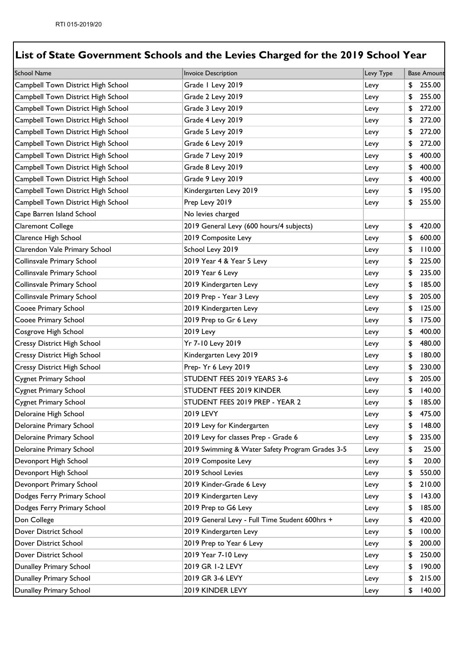| <b>School Name</b>                 | <b>Invoice Description</b>                      | Levy Type | <b>Base Amount</b> |
|------------------------------------|-------------------------------------------------|-----------|--------------------|
| Campbell Town District High School | Grade I Levy 2019                               | Levy      | \$<br>255.00       |
| Campbell Town District High School | Grade 2 Levy 2019                               | Levy      | \$<br>255.00       |
| Campbell Town District High School | Grade 3 Levy 2019                               | Levy      | \$<br>272.00       |
| Campbell Town District High School | Grade 4 Levy 2019                               | Levy      | \$<br>272.00       |
| Campbell Town District High School | Grade 5 Levy 2019                               | Levy      | \$<br>272.00       |
| Campbell Town District High School | Grade 6 Levy 2019                               | Levy      | \$<br>272.00       |
| Campbell Town District High School | Grade 7 Levy 2019                               | Levy      | \$<br>400.00       |
| Campbell Town District High School | Grade 8 Levy 2019                               | Levy      | \$<br>400.00       |
| Campbell Town District High School | Grade 9 Levy 2019                               | Levy      | \$<br>400.00       |
| Campbell Town District High School | Kindergarten Levy 2019                          | Levy      | \$<br>195.00       |
| Campbell Town District High School | Prep Levy 2019                                  | Levy      | \$<br>255.00       |
| Cape Barren Island School          | No levies charged                               |           |                    |
| Claremont College                  | 2019 General Levy (600 hours/4 subjects)        | Levy      | \$<br>420.00       |
| Clarence High School               | 2019 Composite Levy                             | Levy      | \$<br>600.00       |
| Clarendon Vale Primary School      | School Levy 2019                                | Levy      | \$<br>110.00       |
| Collinsvale Primary School         | 2019 Year 4 & Year 5 Levy                       | Levy      | \$<br>225.00       |
| Collinsvale Primary School         | 2019 Year 6 Levy                                | Levy      | \$<br>235.00       |
| Collinsvale Primary School         | 2019 Kindergarten Levy                          | Levy      | \$<br>185.00       |
| Collinsvale Primary School         | 2019 Prep - Year 3 Levy                         | Levy      | \$<br>205.00       |
| Cooee Primary School               | 2019 Kindergarten Levy                          | Levy      | \$<br>125.00       |
| Cooee Primary School               | 2019 Prep to Gr 6 Levy                          | Levy      | \$<br>175.00       |
| Cosgrove High School               | <b>2019 Levy</b>                                | Levy      | \$<br>400.00       |
| Cressy District High School        | Yr 7-10 Levy 2019                               | Levy      | \$<br>480.00       |
| <b>Cressy District High School</b> | Kindergarten Levy 2019                          | Levy      | \$<br>180.00       |
| Cressy District High School        | Prep- Yr 6 Levy 2019                            | Levy      | \$<br>230.00       |
| <b>Cygnet Primary School</b>       | STUDENT FEES 2019 YEARS 3-6                     | Levy      | \$<br>205.00       |
| <b>Cygnet Primary School</b>       | STUDENT FEES 2019 KINDER                        | Levy      | \$<br>140.00       |
| <b>Cygnet Primary School</b>       | STUDENT FEES 2019 PREP - YEAR 2                 | Levy      | \$<br>185.00       |
| Deloraine High School              | 2019 LEVY                                       | Levy      | \$<br>475.00       |
| Deloraine Primary School           | 2019 Levy for Kindergarten                      | Levy      | \$<br>148.00       |
| Deloraine Primary School           | 2019 Levy for classes Prep - Grade 6            | Levy      | \$<br>235.00       |
| Deloraine Primary School           | 2019 Swimming & Water Safety Program Grades 3-5 | Levy      | \$<br>25.00        |
| Devonport High School              | 2019 Composite Levy                             | Levy      | \$<br>20.00        |
| Devonport High School              | 2019 School Levies                              | Levy      | \$<br>550.00       |
| Devonport Primary School           | 2019 Kinder-Grade 6 Levy                        | Levy      | \$<br>210.00       |
| Dodges Ferry Primary School        | 2019 Kindergarten Levy                          | Levy      | \$<br>143.00       |
| Dodges Ferry Primary School        | 2019 Prep to G6 Levy                            | Levy      | \$<br>185.00       |
| Don College                        | 2019 General Levy - Full Time Student 600hrs +  | Levy      | \$<br>420.00       |
| Dover District School              | 2019 Kindergarten Levy                          | Levy      | \$<br>100.00       |
| Dover District School              | 2019 Prep to Year 6 Levy                        | Levy      | \$<br>200.00       |
| Dover District School              | 2019 Year 7-10 Levy                             | Levy      | \$<br>250.00       |
| Dunalley Primary School            | 2019 GR 1-2 LEVY                                | Levy      | \$<br>190.00       |
| Dunalley Primary School            | 2019 GR 3-6 LEVY                                | Levy      | \$<br>215.00       |
| Dunalley Primary School            | 2019 KINDER LEVY                                | Levy      | \$<br>140.00       |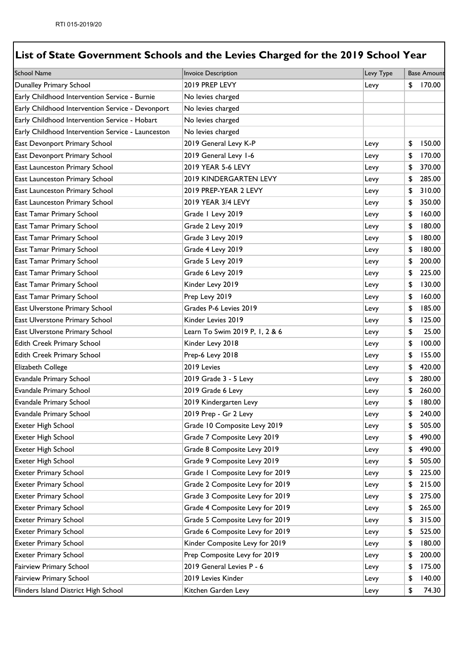| <b>School Name</b>                                | <b>Invoice Description</b>      | Levy Type | <b>Base Amount</b> |
|---------------------------------------------------|---------------------------------|-----------|--------------------|
| Dunalley Primary School                           | 2019 PREP LEVY                  | Levy      | \$<br>170.00       |
| Early Childhood Intervention Service - Burnie     | No levies charged               |           |                    |
| Early Childhood Intervention Service - Devonport  | No levies charged               |           |                    |
| Early Childhood Intervention Service - Hobart     | No levies charged               |           |                    |
| Early Childhood Intervention Service - Launceston | No levies charged               |           |                    |
| East Devonport Primary School                     | 2019 General Levy K-P           | Levy      | \$<br>150.00       |
| East Devonport Primary School                     | 2019 General Levy 1-6           | Levy      | \$<br>170.00       |
| East Launceston Primary School                    | 2019 YEAR 5-6 LEVY              | Levy      | \$<br>370.00       |
| East Launceston Primary School                    | 2019 KINDERGARTEN LEVY          | Levy      | \$<br>285.00       |
| East Launceston Primary School                    | 2019 PREP-YEAR 2 LEVY           | Levy      | \$<br>310.00       |
| East Launceston Primary School                    | 2019 YEAR 3/4 LEVY              | Levy      | \$<br>350.00       |
| East Tamar Primary School                         | Grade I Levy 2019               | Levy      | \$<br>160.00       |
| East Tamar Primary School                         | Grade 2 Levy 2019               | Levy      | \$<br>180.00       |
| <b>East Tamar Primary School</b>                  | Grade 3 Levy 2019               | Levy      | \$<br>180.00       |
| <b>East Tamar Primary School</b>                  | Grade 4 Levy 2019               | Levy      | \$<br>180.00       |
| <b>East Tamar Primary School</b>                  | Grade 5 Levy 2019               | Levy      | \$<br>200.00       |
| East Tamar Primary School                         | Grade 6 Levy 2019               | Levy      | \$<br>225.00       |
| East Tamar Primary School                         | Kinder Levy 2019                | Levy      | \$<br>130.00       |
| East Tamar Primary School                         | Prep Levy 2019                  | Levy      | \$<br>160.00       |
| East Ulverstone Primary School                    | Grades P-6 Levies 2019          | Levy      | \$<br>185.00       |
| East Ulverstone Primary School                    | Kinder Levies 2019              | Levy      | \$<br>125.00       |
| East Ulverstone Primary School                    | Learn To Swim 2019 P, I, 2 & 6  | Levy      | \$<br>25.00        |
| Edith Creek Primary School                        | Kinder Levy 2018                | Levy      | \$<br>100.00       |
| Edith Creek Primary School                        | Prep-6 Levy 2018                | Levy      | \$<br>155.00       |
| <b>Elizabeth College</b>                          | 2019 Levies                     | Levy      | \$<br>420.00       |
| Evandale Primary School                           | 2019 Grade 3 - 5 Levy           | Levy      | \$<br>280.00       |
| Evandale Primary School                           | 2019 Grade 6 Levy               | Levy      | \$<br>260.00       |
| Evandale Primary School                           | 2019 Kindergarten Levy          | Levy      | \$<br>180.00       |
| Evandale Primary School                           | 2019 Prep - Gr 2 Levy           | Levy      | \$<br>240.00       |
| <b>Exeter High School</b>                         | Grade 10 Composite Levy 2019    | Levy      | \$<br>505.00       |
| Exeter High School                                | Grade 7 Composite Levy 2019     | Levy      | \$<br>490.00       |
| Exeter High School                                | Grade 8 Composite Levy 2019     | Levy      | \$<br>490.00       |
| Exeter High School                                | Grade 9 Composite Levy 2019     | Levy      | \$<br>505.00       |
| <b>Exeter Primary School</b>                      | Grade I Composite Levy for 2019 | Levy      | \$<br>225.00       |
| <b>Exeter Primary School</b>                      | Grade 2 Composite Levy for 2019 | Levy      | \$<br>215.00       |
| <b>Exeter Primary School</b>                      | Grade 3 Composite Levy for 2019 | Levy      | \$<br>275.00       |
| <b>Exeter Primary School</b>                      | Grade 4 Composite Levy for 2019 | Levy      | \$<br>265.00       |
| <b>Exeter Primary School</b>                      | Grade 5 Composite Levy for 2019 | Levy      | \$<br>315.00       |
| <b>Exeter Primary School</b>                      | Grade 6 Composite Levy for 2019 | Levy      | \$<br>525.00       |
| <b>Exeter Primary School</b>                      | Kinder Composite Levy for 2019  | Levy      | \$<br>180.00       |
| <b>Exeter Primary School</b>                      | Prep Composite Levy for 2019    | Levy      | \$<br>200.00       |
| <b>Fairview Primary School</b>                    | 2019 General Levies P - 6       | Levy      | \$<br>175.00       |
| Fairview Primary School                           | 2019 Levies Kinder              | Levy      | \$<br>140.00       |
| Flinders Island District High School              | Kitchen Garden Levy             | Levy      | \$<br>74.30        |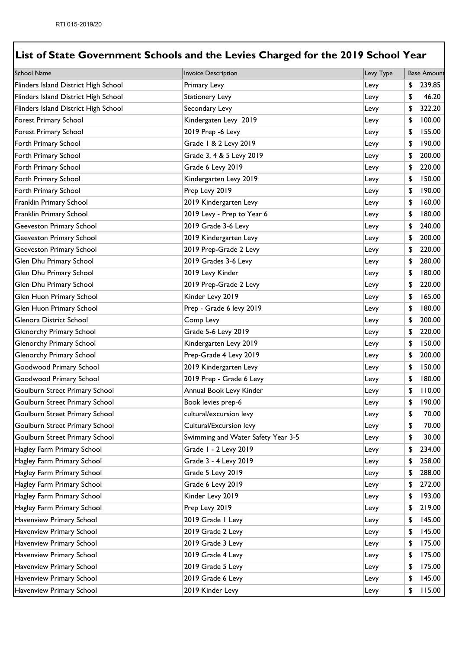| <b>School Name</b>                   | <b>Invoice Description</b>         | Levy Type | <b>Base Amount</b> |
|--------------------------------------|------------------------------------|-----------|--------------------|
| Flinders Island District High School | Primary Levy                       | Levy      | \$<br>239.85       |
| Flinders Island District High School | <b>Stationery Levy</b>             | Levy      | \$<br>46.20        |
| Flinders Island District High School | Secondary Levy                     | Levy      | \$<br>322.20       |
| <b>Forest Primary School</b>         | Kindergaten Levy 2019              | Levy      | \$<br>100.00       |
| Forest Primary School                | 2019 Prep -6 Levy                  | Levy      | \$<br>155.00       |
| Forth Primary School                 | Grade   & 2 Levy 2019              | Levy      | \$<br>190.00       |
| Forth Primary School                 | Grade 3, 4 & 5 Levy 2019           | Levy      | \$<br>200.00       |
| Forth Primary School                 | Grade 6 Levy 2019                  | Levy      | \$<br>220.00       |
| Forth Primary School                 | Kindergarten Levy 2019             | Levy      | \$<br>150.00       |
| Forth Primary School                 | Prep Levy 2019                     | Levy      | \$<br>190.00       |
| Franklin Primary School              | 2019 Kindergarten Levy             | Levy      | \$<br>160.00       |
| Franklin Primary School              | 2019 Levy - Prep to Year 6         | Levy      | \$<br>180.00       |
| Geeveston Primary School             | 2019 Grade 3-6 Levy                | Levy      | \$<br>240.00       |
| Geeveston Primary School             | 2019 Kindergarten Levy             | Levy      | \$<br>200.00       |
| Geeveston Primary School             | 2019 Prep-Grade 2 Levy             | Levy      | \$<br>220.00       |
| Glen Dhu Primary School              | 2019 Grades 3-6 Levy               | Levy      | \$<br>280.00       |
| Glen Dhu Primary School              | 2019 Levy Kinder                   | Levy      | \$<br>180.00       |
| Glen Dhu Primary School              | 2019 Prep-Grade 2 Levy             | Levy      | \$<br>220.00       |
| Glen Huon Primary School             | Kinder Levy 2019                   | Levy      | \$<br>165.00       |
| Glen Huon Primary School             | Prep - Grade 6 levy 2019           | Levy      | \$<br>180.00       |
| Glenora District School              | Comp Levy                          | Levy      | \$<br>200.00       |
| Glenorchy Primary School             | Grade 5-6 Levy 2019                | Levy      | \$<br>220.00       |
| Glenorchy Primary School             | Kindergarten Levy 2019             | Levy      | \$<br>150.00       |
| Glenorchy Primary School             | Prep-Grade 4 Levy 2019             | Levy      | \$<br>200.00       |
| Goodwood Primary School              | 2019 Kindergarten Levy             | Levy      | \$<br>150.00       |
| Goodwood Primary School              | 2019 Prep - Grade 6 Levy           | Levy      | \$<br>180.00       |
| Goulburn Street Primary School       | Annual Book Levy Kinder            | Levy      | \$<br>110.00       |
| Goulburn Street Primary School       | Book levies prep-6                 | Levy      | \$<br>190.00       |
| Goulburn Street Primary School       | cultural/excursion levy            | Levy      | \$<br>70.00        |
| Goulburn Street Primary School       | Cultural/Excursion levy            | Levy      | \$<br>70.00        |
| Goulburn Street Primary School       | Swimming and Water Safety Year 3-5 | Levy      | \$<br>30.00        |
| Hagley Farm Primary School           | Grade I - 2 Levy 2019              | Levy      | \$<br>234.00       |
| Hagley Farm Primary School           | Grade 3 - 4 Levy 2019              | Levy      | \$<br>258.00       |
| Hagley Farm Primary School           | Grade 5 Levy 2019                  | Levy      | \$<br>288.00       |
| Hagley Farm Primary School           | Grade 6 Levy 2019                  | Levy      | \$<br>272.00       |
| Hagley Farm Primary School           | Kinder Levy 2019                   | Levy      | \$<br>193.00       |
| Hagley Farm Primary School           | Prep Levy 2019                     | Levy      | \$<br>219.00       |
| Havenview Primary School             | 2019 Grade I Levy                  | Levy      | \$<br>145.00       |
| Havenview Primary School             | 2019 Grade 2 Levy                  | Levy      | \$<br>145.00       |
| Havenview Primary School             | 2019 Grade 3 Levy                  | Levy      | \$<br>175.00       |
| Havenview Primary School             | 2019 Grade 4 Levy                  | Levy      | \$<br>175.00       |
| Havenview Primary School             | 2019 Grade 5 Levy                  | Levy      | \$<br>175.00       |
| Havenview Primary School             | 2019 Grade 6 Levy                  | Levy      | \$<br>145.00       |
| Havenview Primary School             | 2019 Kinder Levy                   | Levy      | \$<br>115.00       |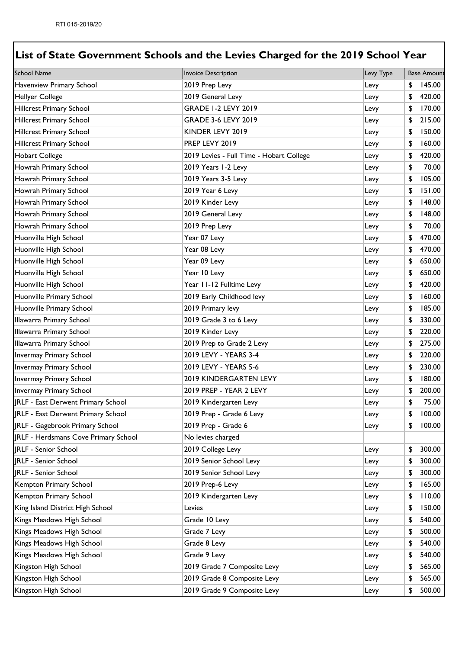| <b>School Name</b>                   | Invoice Description                      | Levy Type | <b>Base Amount</b> |
|--------------------------------------|------------------------------------------|-----------|--------------------|
| Havenview Primary School             | 2019 Prep Levy                           | Levy      | \$<br>145.00       |
| <b>Hellyer College</b>               | 2019 General Levy                        | Levy      | \$<br>420.00       |
| <b>Hillcrest Primary School</b>      | <b>GRADE 1-2 LEVY 2019</b>               | Levy      | \$<br>170.00       |
| <b>Hillcrest Primary School</b>      | <b>GRADE 3-6 LEVY 2019</b>               | Levy      | \$<br>215.00       |
| <b>Hillcrest Primary School</b>      | KINDER LEVY 2019                         | Levy      | \$<br>150.00       |
| <b>Hillcrest Primary School</b>      | PREP LEVY 2019                           | Levy      | \$<br>160.00       |
| <b>Hobart College</b>                | 2019 Levies - Full Time - Hobart College | Levy      | \$<br>420.00       |
| Howrah Primary School                | 2019 Years 1-2 Levy                      | Levy      | \$<br>70.00        |
| Howrah Primary School                | 2019 Years 3-5 Levy                      | Levy      | \$<br>105.00       |
| Howrah Primary School                | 2019 Year 6 Levy                         | Levy      | \$<br>151.00       |
| Howrah Primary School                | 2019 Kinder Levy                         | Levy      | \$<br>148.00       |
| Howrah Primary School                | 2019 General Levy                        | Levy      | \$<br>148.00       |
| Howrah Primary School                | 2019 Prep Levy                           | Levy      | \$<br>70.00        |
| Huonville High School                | Year 07 Levy                             | Levy      | \$<br>470.00       |
| Huonville High School                | Year 08 Levy                             | Levy      | \$<br>470.00       |
| Huonville High School                | Year 09 Levy                             | Levy      | \$<br>650.00       |
| Huonville High School                | Year 10 Levy                             | Levy      | \$<br>650.00       |
| Huonville High School                | Year 11-12 Fulltime Levy                 | Levy      | \$<br>420.00       |
| Huonville Primary School             | 2019 Early Childhood levy                | Levy      | \$<br>160.00       |
| Huonville Primary School             | 2019 Primary levy                        | Levy      | \$<br>185.00       |
| Illawarra Primary School             | 2019 Grade 3 to 6 Levy                   | Levy      | \$<br>330.00       |
| Illawarra Primary School             | 2019 Kinder Levy                         | Levy      | \$<br>220.00       |
| Illawarra Primary School             | 2019 Prep to Grade 2 Levy                | Levy      | \$<br>275.00       |
| Invermay Primary School              | 2019 LEVY - YEARS 3-4                    | Levy      | \$<br>220.00       |
| <b>Invermay Primary School</b>       | 2019 LEVY - YEARS 5-6                    | Levy      | \$<br>230.00       |
| <b>Invermay Primary School</b>       | 2019 KINDERGARTEN LEVY                   | Levy      | \$<br>180.00       |
| Invermay Primary School              | 2019 PREP - YEAR 2 LEVY                  | Levy      | \$<br>200.00       |
| JRLF - East Derwent Primary School   | 2019 Kindergarten Levy                   | Levy      | \$<br>75.00        |
| JRLF - East Derwent Primary School   | 2019 Prep - Grade 6 Levy                 | Levy      | \$<br>100.00       |
| JRLF - Gagebrook Primary School      | 2019 Prep - Grade 6                      | Levy      | \$<br>100.00       |
| JRLF - Herdsmans Cove Primary School | No levies charged                        |           |                    |
| <b>JRLF</b> - Senior School          | 2019 College Levy                        | Levy      | \$<br>300.00       |
| <b>IRLF - Senior School</b>          | 2019 Senior School Levy                  | Levy      | \$<br>300.00       |
| <b>JRLF - Senior School</b>          | 2019 Senior School Levy                  | Levy      | \$<br>300.00       |
| Kempton Primary School               | 2019 Prep-6 Levy                         | Levy      | \$<br>165.00       |
| Kempton Primary School               | 2019 Kindergarten Levy                   | Levy      | \$<br>110.00       |
| King Island District High School     | Levies                                   | Levy      | \$<br>150.00       |
| Kings Meadows High School            | Grade 10 Levy                            | Levy      | \$<br>540.00       |
| Kings Meadows High School            | Grade 7 Levy                             | Levy      | \$<br>500.00       |
| Kings Meadows High School            | Grade 8 Levy                             | Levy      | \$<br>540.00       |
| Kings Meadows High School            | Grade 9 Levy                             | Levy      | \$<br>540.00       |
| Kingston High School                 | 2019 Grade 7 Composite Levy              | Levy      | \$<br>565.00       |
| Kingston High School                 | 2019 Grade 8 Composite Levy              | Levy      | \$<br>565.00       |
| Kingston High School                 | 2019 Grade 9 Composite Levy              | Levy      | \$<br>500.00       |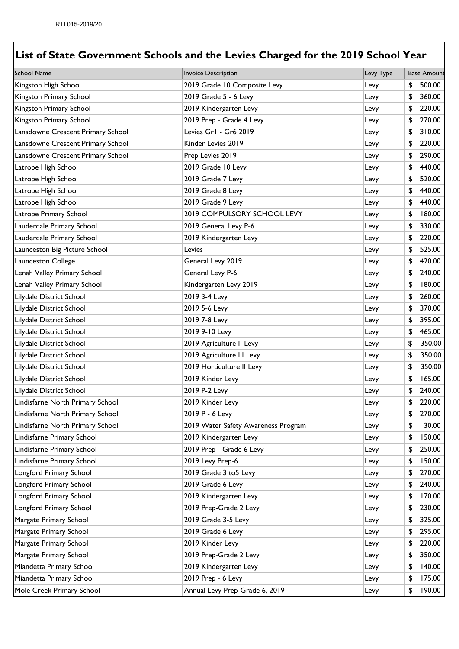| <b>School Name</b>                | <b>Invoice Description</b>          | Levy Type | <b>Base Amount</b> |
|-----------------------------------|-------------------------------------|-----------|--------------------|
| Kingston High School              | 2019 Grade 10 Composite Levy        | Levy      | \$<br>500.00       |
| Kingston Primary School           | 2019 Grade 5 - 6 Levy               | Levy      | \$<br>360.00       |
| Kingston Primary School           | 2019 Kindergarten Levy              | Levy      | \$<br>220.00       |
| Kingston Primary School           | 2019 Prep - Grade 4 Levy            | Levy      | \$<br>270.00       |
| Lansdowne Crescent Primary School | Levies Gr1 - Gr6 2019               | Levy      | \$<br>310.00       |
| Lansdowne Crescent Primary School | Kinder Levies 2019                  | Levy      | \$<br>220.00       |
| Lansdowne Crescent Primary School | Prep Levies 2019                    | Levy      | \$<br>290.00       |
| Latrobe High School               | 2019 Grade 10 Levy                  | Levy      | \$<br>440.00       |
| Latrobe High School               | 2019 Grade 7 Levy                   | Levy      | \$<br>520.00       |
| Latrobe High School               | 2019 Grade 8 Levy                   | Levy      | \$<br>440.00       |
| Latrobe High School               | 2019 Grade 9 Levy                   | Levy      | \$<br>440.00       |
| Latrobe Primary School            | 2019 COMPULSORY SCHOOL LEVY         | Levy      | \$<br>180.00       |
| Lauderdale Primary School         | 2019 General Levy P-6               | Levy      | \$<br>330.00       |
| Lauderdale Primary School         | 2019 Kindergarten Levy              | Levy      | \$<br>220.00       |
| Launceston Big Picture School     | Levies                              | Levy      | \$<br>525.00       |
| Launceston College                | General Levy 2019                   | Levy      | \$<br>420.00       |
| Lenah Valley Primary School       | General Levy P-6                    | Levy      | \$<br>240.00       |
| Lenah Valley Primary School       | Kindergarten Levy 2019              | Levy      | \$<br>180.00       |
| Lilydale District School          | 2019 3-4 Levy                       | Levy      | \$<br>260.00       |
| Lilydale District School          | 2019 5-6 Levy                       | Levy      | \$<br>370.00       |
| Lilydale District School          | 2019 7-8 Levy                       | Levy      | \$<br>395.00       |
| Lilydale District School          | 2019 9-10 Levy                      | Levy      | \$<br>465.00       |
| Lilydale District School          | 2019 Agriculture II Levy            | Levy      | \$<br>350.00       |
| Lilydale District School          | 2019 Agriculture III Levy           | Levy      | \$<br>350.00       |
| Lilydale District School          | 2019 Horticulture II Levy           | Levy      | \$<br>350.00       |
| Lilydale District School          | 2019 Kinder Levy                    | Levy      | \$<br>165.00       |
| Lilydale District School          | 2019 P-2 Levy                       | Levy      | \$<br>240.00       |
| Lindisfarne North Primary School  | 2019 Kinder Levy                    | Levy      | \$<br>220.00       |
| Lindisfarne North Primary School  | 2019 P - 6 Levy                     | Levy      | \$<br>270.00       |
| Lindisfarne North Primary School  | 2019 Water Safety Awareness Program | Levy      | \$<br>30.00        |
| Lindisfarne Primary School        | 2019 Kindergarten Levy              | Levy      | \$<br>150.00       |
| Lindisfarne Primary School        | 2019 Prep - Grade 6 Levy            | Levy      | \$<br>250.00       |
| Lindisfarne Primary School        | 2019 Levy Prep-6                    | Levy      | \$<br>150.00       |
| Longford Primary School           | 2019 Grade 3 to 5 Levy              | Levy      | \$<br>270.00       |
| Longford Primary School           | 2019 Grade 6 Levy                   | Levy      | \$<br>240.00       |
| Longford Primary School           | 2019 Kindergarten Levy              | Levy      | \$<br>170.00       |
| Longford Primary School           | 2019 Prep-Grade 2 Levy              | Levy      | \$<br>230.00       |
| Margate Primary School            | 2019 Grade 3-5 Levy                 | Levy      | \$<br>325.00       |
| Margate Primary School            | 2019 Grade 6 Levy                   | Levy      | \$<br>295.00       |
| Margate Primary School            | 2019 Kinder Levy                    | Levy      | \$<br>220.00       |
| Margate Primary School            | 2019 Prep-Grade 2 Levy              | Levy      | \$<br>350.00       |
| Miandetta Primary School          | 2019 Kindergarten Levy              | Levy      | \$<br>140.00       |
| Miandetta Primary School          | 2019 Prep - 6 Levy                  | Levy      | \$<br>175.00       |
| Mole Creek Primary School         | Annual Levy Prep-Grade 6, 2019      | Levy      | \$<br>190.00       |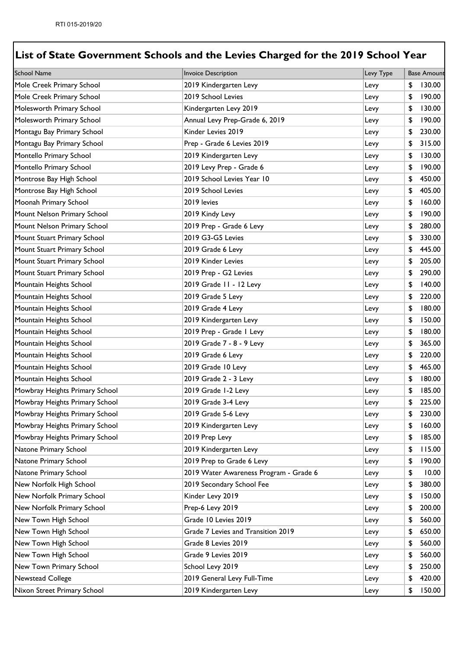| <b>School Name</b>             | Invoice Description                    | Levy Type | <b>Base Amount</b> |
|--------------------------------|----------------------------------------|-----------|--------------------|
| Mole Creek Primary School      | 2019 Kindergarten Levy                 | Levy      | \$<br>130.00       |
| Mole Creek Primary School      | 2019 School Levies                     | Levy      | \$<br>190.00       |
| Molesworth Primary School      | Kindergarten Levy 2019                 | Levy      | \$<br>130.00       |
| Molesworth Primary School      | Annual Levy Prep-Grade 6, 2019         | Levy      | \$<br>190.00       |
| Montagu Bay Primary School     | Kinder Levies 2019                     | Levy      | \$<br>230.00       |
| Montagu Bay Primary School     | Prep - Grade 6 Levies 2019             | Levy      | \$<br>315.00       |
| Montello Primary School        | 2019 Kindergarten Levy                 | Levy      | \$<br>130.00       |
| Montello Primary School        | 2019 Levy Prep - Grade 6               | Levy      | \$<br>190.00       |
| Montrose Bay High School       | 2019 School Levies Year 10             | Levy      | \$<br>450.00       |
| Montrose Bay High School       | 2019 School Levies                     | Levy      | \$<br>405.00       |
| Moonah Primary School          | 2019 levies                            | Levy      | \$<br>160.00       |
| Mount Nelson Primary School    | 2019 Kindy Levy                        | Levy      | \$<br>190.00       |
| Mount Nelson Primary School    | 2019 Prep - Grade 6 Levy               | Levy      | \$<br>280.00       |
| Mount Stuart Primary School    | 2019 G3-G5 Levies                      | Levy      | \$<br>330.00       |
| Mount Stuart Primary School    | 2019 Grade 6 Levy                      | Levy      | \$<br>445.00       |
| Mount Stuart Primary School    | 2019 Kinder Levies                     | Levy      | \$<br>205.00       |
| Mount Stuart Primary School    | 2019 Prep - G2 Levies                  | Levy      | \$<br>290.00       |
| Mountain Heights School        | 2019 Grade 11 - 12 Levy                | Levy      | \$<br>140.00       |
| Mountain Heights School        | 2019 Grade 5 Levy                      | Levy      | \$<br>220.00       |
| Mountain Heights School        | 2019 Grade 4 Levy                      | Levy      | \$<br>180.00       |
| Mountain Heights School        | 2019 Kindergarten Levy                 | Levy      | \$<br>150.00       |
| Mountain Heights School        | 2019 Prep - Grade I Levy               | Levy      | \$<br>180.00       |
| Mountain Heights School        | 2019 Grade 7 - 8 - 9 Levy              | Levy      | \$<br>365.00       |
| Mountain Heights School        | 2019 Grade 6 Levy                      | Levy      | \$<br>220.00       |
| Mountain Heights School        | 2019 Grade 10 Levy                     | Levy      | \$<br>465.00       |
| Mountain Heights School        | 2019 Grade 2 - 3 Levy                  | Levy      | \$<br>180.00       |
| Mowbray Heights Primary School | 2019 Grade 1-2 Levy                    | Levy      | \$<br>185.00       |
| Mowbray Heights Primary School | 2019 Grade 3-4 Levy                    | Levy      | \$<br>225.00       |
| Mowbray Heights Primary School | 2019 Grade 5-6 Levy                    | Levy      | \$<br>230.00       |
| Mowbray Heights Primary School | 2019 Kindergarten Levy                 | Levy      | \$<br>160.00       |
| Mowbray Heights Primary School | 2019 Prep Levy                         | Levy      | \$<br>185.00       |
| Natone Primary School          | 2019 Kindergarten Levy                 | Levy      | \$<br>115.00       |
| Natone Primary School          | 2019 Prep to Grade 6 Levy              | Levy      | \$<br>190.00       |
| Natone Primary School          | 2019 Water Awareness Program - Grade 6 | Levy      | \$<br>10.00        |
| New Norfolk High School        | 2019 Secondary School Fee              | Levy      | \$<br>380.00       |
| New Norfolk Primary School     | Kinder Levy 2019                       | Levy      | \$<br>150.00       |
| New Norfolk Primary School     | Prep-6 Levy 2019                       | Levy      | \$<br>200.00       |
| New Town High School           | Grade 10 Levies 2019                   | Levy      | \$<br>560.00       |
| New Town High School           | Grade 7 Levies and Transition 2019     | Levy      | \$<br>650.00       |
| New Town High School           | Grade 8 Levies 2019                    | Levy      | \$<br>560.00       |
| New Town High School           | Grade 9 Levies 2019                    | Levy      | \$<br>560.00       |
| New Town Primary School        | School Levy 2019                       | Levy      | \$<br>250.00       |
| Newstead College               | 2019 General Levy Full-Time            | Levy      | \$<br>420.00       |
| Nixon Street Primary School    | 2019 Kindergarten Levy                 | Levy      | \$<br>150.00       |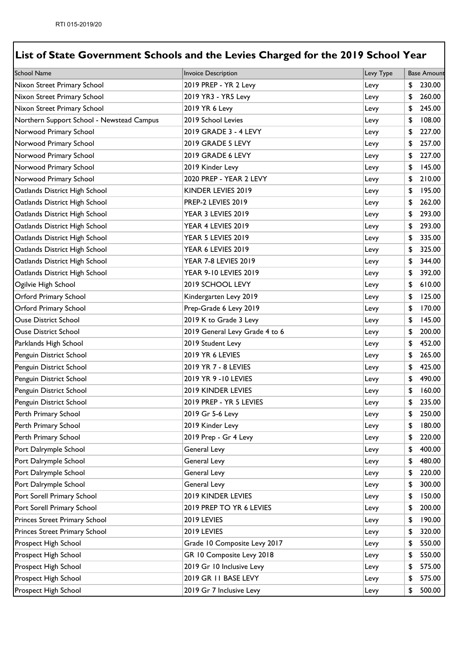| <b>School Name</b>                        | <b>Invoice Description</b>     | Levy Type | <b>Base Amount</b> |
|-------------------------------------------|--------------------------------|-----------|--------------------|
| Nixon Street Primary School               | 2019 PREP - YR 2 Levy          | Levy      | \$<br>230.00       |
| Nixon Street Primary School               | 2019 YR3 - YR5 Levy            | Levy      | \$<br>260.00       |
| Nixon Street Primary School               | 2019 YR 6 Levy                 | Levy      | \$<br>245.00       |
| Northern Support School - Newstead Campus | 2019 School Levies             | Levy      | \$<br>108.00       |
| Norwood Primary School                    | 2019 GRADE 3 - 4 LEVY          | Levy      | \$<br>227.00       |
| Norwood Primary School                    | 2019 GRADE 5 LEVY              | Levy      | \$<br>257.00       |
| Norwood Primary School                    | 2019 GRADE 6 LEVY              | Levy      | \$<br>227.00       |
| Norwood Primary School                    | 2019 Kinder Levy               | Levy      | \$<br>145.00       |
| Norwood Primary School                    | 2020 PREP - YEAR 2 LEVY        | Levy      | \$<br>210.00       |
| Oatlands District High School             | KINDER LEVIES 2019             | Levy      | \$<br>195.00       |
| Oatlands District High School             | PREP-2 LEVIES 2019             | Levy      | \$<br>262.00       |
| Oatlands District High School             | YEAR 3 LEVIES 2019             | Levy      | \$<br>293.00       |
| Oatlands District High School             | YEAR 4 LEVIES 2019             | Levy      | \$<br>293.00       |
| Oatlands District High School             | YEAR 5 LEVIES 2019             | Levy      | \$<br>335.00       |
| Oatlands District High School             | YEAR 6 LEVIES 2019             | Levy      | \$<br>325.00       |
| Oatlands District High School             | YEAR 7-8 LEVIES 2019           | Levy      | \$<br>344.00       |
| Oatlands District High School             | YEAR 9-10 LEVIES 2019          | Levy      | \$<br>392.00       |
| Ogilvie High School                       | 2019 SCHOOL LEVY               | Levy      | \$<br>610.00       |
| <b>Orford Primary School</b>              | Kindergarten Levy 2019         | Levy      | \$<br>125.00       |
| <b>Orford Primary School</b>              | Prep-Grade 6 Levy 2019         | Levy      | \$<br>170.00       |
| <b>Ouse District School</b>               | 2019 K to Grade 3 Levy         | Levy      | \$<br>145.00       |
| <b>Ouse District School</b>               | 2019 General Levy Grade 4 to 6 | Levy      | \$<br>200.00       |
| Parklands High School                     | 2019 Student Levy              | Levy      | \$<br>452.00       |
| Penguin District School                   | 2019 YR 6 LEVIES               | Levy      | \$<br>265.00       |
| Penguin District School                   | 2019 YR 7 - 8 LEVIES           | Levy      | \$<br>425.00       |
| Penguin District School                   | 2019 YR 9 - 10 LEVIES          | Levy      | \$<br>490.00       |
| Penguin District School                   | 2019 KINDER LEVIES             | Levy      | \$<br>160.00       |
| Penguin District School                   | 2019 PREP - YR 5 LEVIES        | Levy      | \$<br>235.00       |
| Perth Primary School                      | 2019 Gr 5-6 Levy               | Levy      | \$<br>250.00       |
| Perth Primary School                      | 2019 Kinder Levy               | Levy      | \$<br>180.00       |
| Perth Primary School                      | 2019 Prep - Gr 4 Levy          | Levy      | \$<br>220.00       |
| Port Dalrymple School                     | <b>General Levy</b>            | Levy      | \$<br>400.00       |
| Port Dalrymple School                     | <b>General Levy</b>            | Levy      | \$<br>480.00       |
| Port Dalrymple School                     | <b>General Levy</b>            | Levy      | \$<br>220.00       |
| Port Dalrymple School                     | <b>General Levy</b>            | Levy      | \$<br>300.00       |
| Port Sorell Primary School                | 2019 KINDER LEVIES             | Levy      | \$<br>150.00       |
| Port Sorell Primary School                | 2019 PREP TO YR 6 LEVIES       | Levy      | \$<br>200.00       |
| Princes Street Primary School             | 2019 LEVIES                    | Levy      | \$<br>190.00       |
| Princes Street Primary School             | 2019 LEVIES                    | Levy      | \$<br>320.00       |
| <b>Prospect High School</b>               | Grade 10 Composite Levy 2017   | Levy      | \$<br>550.00       |
| <b>Prospect High School</b>               | GR 10 Composite Levy 2018      | Levy      | \$<br>550.00       |
| Prospect High School                      | 2019 Gr 10 Inclusive Levy      | Levy      | \$<br>575.00       |
| Prospect High School                      | 2019 GR 11 BASE LEVY           | Levy      | \$<br>575.00       |
| Prospect High School                      | 2019 Gr 7 Inclusive Levy       | Levy      | \$<br>500.00       |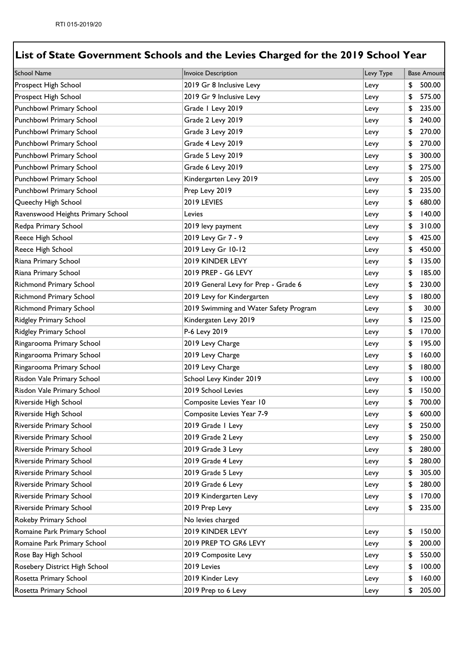| <b>School Name</b>                | <b>Invoice Description</b>             | Levy Type | <b>Base Amount</b> |
|-----------------------------------|----------------------------------------|-----------|--------------------|
| <b>Prospect High School</b>       | 2019 Gr 8 Inclusive Levy               | Levy      | \$<br>500.00       |
| <b>Prospect High School</b>       | 2019 Gr 9 Inclusive Levy               | Levy      | \$<br>575.00       |
| Punchbowl Primary School          | Grade I Levy 2019                      | Levy      | \$<br>235.00       |
| Punchbowl Primary School          | Grade 2 Levy 2019                      | Levy      | \$<br>240.00       |
| Punchbowl Primary School          | Grade 3 Levy 2019                      | Levy      | \$<br>270.00       |
| Punchbowl Primary School          | Grade 4 Levy 2019                      | Levy      | \$<br>270.00       |
| Punchbowl Primary School          | Grade 5 Levy 2019                      | Levy      | \$<br>300.00       |
| Punchbowl Primary School          | Grade 6 Levy 2019                      | Levy      | \$<br>275.00       |
| Punchbowl Primary School          | Kindergarten Levy 2019                 | Levy      | \$<br>205.00       |
| Punchbowl Primary School          | Prep Levy 2019                         | Levy      | \$<br>235.00       |
| Queechy High School               | 2019 LEVIES                            | Levy      | \$<br>680.00       |
| Ravenswood Heights Primary School | Levies                                 | Levy      | \$<br>140.00       |
| Redpa Primary School              | 2019 levy payment                      | Levy      | \$<br>310.00       |
| Reece High School                 | 2019 Levy Gr 7 - 9                     | Levy      | \$<br>425.00       |
| Reece High School                 | 2019 Levy Gr 10-12                     | Levy      | \$<br>450.00       |
| Riana Primary School              | 2019 KINDER LEVY                       | Levy      | \$<br>135.00       |
| Riana Primary School              | 2019 PREP - G6 LEVY                    | Levy      | \$<br>185.00       |
| <b>Richmond Primary School</b>    | 2019 General Levy for Prep - Grade 6   | Levy      | \$<br>230.00       |
| <b>Richmond Primary School</b>    | 2019 Levy for Kindergarten             | Levy      | \$<br>180.00       |
| <b>Richmond Primary School</b>    | 2019 Swimming and Water Safety Program | Levy      | \$<br>30.00        |
| <b>Ridgley Primary School</b>     | Kindergaten Levy 2019                  | Levy      | \$<br>125.00       |
| <b>Ridgley Primary School</b>     | P-6 Levy 2019                          | Levy      | \$<br>170.00       |
| Ringarooma Primary School         | 2019 Levy Charge                       | Levy      | \$<br>195.00       |
| Ringarooma Primary School         | 2019 Levy Charge                       | Levy      | \$<br>160.00       |
| Ringarooma Primary School         | 2019 Levy Charge                       | Levy      | \$<br>180.00       |
| Risdon Vale Primary School        | School Levy Kinder 2019                | Levy      | \$<br>100.00       |
| Risdon Vale Primary School        | 2019 School Levies                     | Levy      | \$<br>150.00       |
| Riverside High School             | Composite Levies Year 10               | Levy      | \$<br>700.00       |
| Riverside High School             | Composite Levies Year 7-9              | Levy      | \$<br>600.00       |
| Riverside Primary School          | 2019 Grade I Levy                      | Levy      | \$<br>250.00       |
| Riverside Primary School          | 2019 Grade 2 Levy                      | Levy      | \$<br>250.00       |
| Riverside Primary School          | 2019 Grade 3 Levy                      | Levy      | \$<br>280.00       |
| Riverside Primary School          | 2019 Grade 4 Levy                      | Levy      | \$<br>280.00       |
| Riverside Primary School          | 2019 Grade 5 Levy                      | Levy      | \$<br>305.00       |
| Riverside Primary School          | 2019 Grade 6 Levy                      | Levy      | \$<br>280.00       |
| Riverside Primary School          | 2019 Kindergarten Levy                 | Levy      | \$<br>170.00       |
| Riverside Primary School          | 2019 Prep Levy                         | Levy      | \$<br>235.00       |
| Rokeby Primary School             | No levies charged                      |           |                    |
| Romaine Park Primary School       | 2019 KINDER LEVY                       | Levy      | \$<br>150.00       |
| Romaine Park Primary School       | 2019 PREP TO GR6 LEVY                  | Levy      | \$<br>200.00       |
| Rose Bay High School              | 2019 Composite Levy                    | Levy      | \$<br>550.00       |
| Rosebery District High School     | 2019 Levies                            | Levy      | \$<br>100.00       |
| Rosetta Primary School            | 2019 Kinder Levy                       | Levy      | \$<br>160.00       |
| Rosetta Primary School            | 2019 Prep to 6 Levy                    | Levy      | \$<br>205.00       |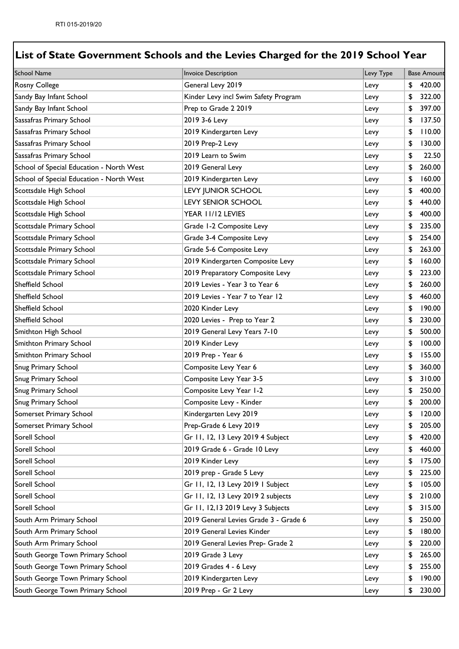| <b>School Name</b>                       | <b>Invoice Description</b>            | Levy Type | <b>Base Amount</b> |
|------------------------------------------|---------------------------------------|-----------|--------------------|
| <b>Rosny College</b>                     | General Levy 2019                     | Levy      | \$<br>420.00       |
| Sandy Bay Infant School                  | Kinder Levy incl Swim Safety Program  | Levy      | \$<br>322.00       |
| Sandy Bay Infant School                  | Prep to Grade 2 2019                  | Levy      | \$<br>397.00       |
| Sassafras Primary School                 | 2019 3-6 Levy                         | Levy      | \$<br>137.50       |
| Sassafras Primary School                 | 2019 Kindergarten Levy                | Levy      | \$<br>110.00       |
| Sassafras Primary School                 | 2019 Prep-2 Levy                      | Levy      | \$<br>130.00       |
| Sassafras Primary School                 | 2019 Learn to Swim                    | Levy      | \$<br>22.50        |
| School of Special Education - North West | 2019 General Levy                     | Levy      | \$<br>260.00       |
| School of Special Education - North West | 2019 Kindergarten Levy                | Levy      | \$<br>160.00       |
| Scottsdale High School                   | LEVY JUNIOR SCHOOL                    | Levy      | \$<br>400.00       |
| Scottsdale High School                   | <b>LEVY SENIOR SCHOOL</b>             | Levy      | \$<br>440.00       |
| Scottsdale High School                   | YEAR 11/12 LEVIES                     | Levy      | \$<br>400.00       |
| Scottsdale Primary School                | Grade 1-2 Composite Levy              | Levy      | \$<br>235.00       |
| Scottsdale Primary School                | Grade 3-4 Composite Levy              | Levy      | \$<br>254.00       |
| Scottsdale Primary School                | Grade 5-6 Composite Levy              | Levy      | \$<br>263.00       |
| Scottsdale Primary School                | 2019 Kindergarten Composite Levy      | Levy      | \$<br>160.00       |
| Scottsdale Primary School                | 2019 Preparatory Composite Levy       | Levy      | \$<br>223.00       |
| <b>Sheffield School</b>                  | 2019 Levies - Year 3 to Year 6        | Levy      | \$<br>260.00       |
| <b>Sheffield School</b>                  | 2019 Levies - Year 7 to Year 12       | Levy      | \$<br>460.00       |
| <b>Sheffield School</b>                  | 2020 Kinder Levy                      | Levy      | \$<br>190.00       |
| <b>Sheffield School</b>                  | 2020 Levies - Prep to Year 2          | Levy      | \$<br>230.00       |
| Smithton High School                     | 2019 General Levy Years 7-10          | Levy      | \$<br>500.00       |
| Smithton Primary School                  | 2019 Kinder Levy                      | Levy      | \$<br>100.00       |
| Smithton Primary School                  | 2019 Prep - Year 6                    | Levy      | \$<br>155.00       |
| <b>Snug Primary School</b>               | Composite Levy Year 6                 | Levy      | \$<br>360.00       |
| <b>Snug Primary School</b>               | Composite Levy Year 3-5               | Levy      | \$<br>310.00       |
| <b>Snug Primary School</b>               | Composite Levy Year 1-2               | Levy      | \$<br>250.00       |
| Snug Primary School                      | Composite Levy - Kinder               | Levy      | \$<br>200.00       |
| Somerset Primary School                  | Kindergarten Levy 2019                | Levy      | \$<br>120.00       |
| Somerset Primary School                  | Prep-Grade 6 Levy 2019                | Levy      | \$<br>205.00       |
| Sorell School                            | Gr 11, 12, 13 Levy 2019 4 Subject     | Levy      | \$<br>420.00       |
| Sorell School                            | 2019 Grade 6 - Grade 10 Levy          | Levy      | \$<br>460.00       |
| Sorell School                            | 2019 Kinder Levy                      | Levy      | \$<br>175.00       |
| Sorell School                            | 2019 prep - Grade 5 Levy              | Levy      | \$<br>225.00       |
| Sorell School                            | Gr 11, 12, 13 Levy 2019 I Subject     | Levy      | \$<br>105.00       |
| Sorell School                            | Gr 11, 12, 13 Levy 2019 2 subjects    | Levy      | \$<br>210.00       |
| Sorell School                            | Gr 11, 12,13 2019 Levy 3 Subjects     | Levy      | \$<br>315.00       |
| South Arm Primary School                 | 2019 General Levies Grade 3 - Grade 6 | Levy      | \$<br>250.00       |
| South Arm Primary School                 | 2019 General Levies Kinder            | Levy      | \$<br>180.00       |
| South Arm Primary School                 | 2019 General Levies Prep- Grade 2     | Levy      | \$<br>220.00       |
| South George Town Primary School         | 2019 Grade 3 Levy                     | Levy      | \$<br>265.00       |
| South George Town Primary School         | 2019 Grades 4 - 6 Levy                | Levy      | \$<br>255.00       |
| South George Town Primary School         | 2019 Kindergarten Levy                | Levy      | \$<br>190.00       |
| South George Town Primary School         | 2019 Prep - Gr 2 Levy                 | Levy      | \$<br>230.00       |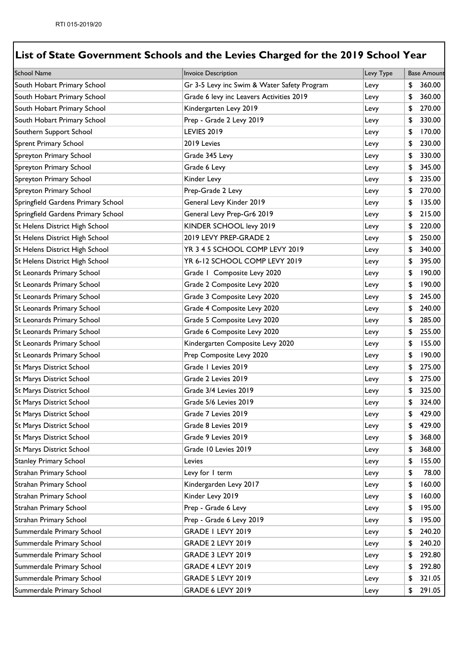| <b>School Name</b>                 | Invoice Description                         | Levy Type | <b>Base Amount</b> |
|------------------------------------|---------------------------------------------|-----------|--------------------|
| South Hobart Primary School        | Gr 3-5 Levy inc Swim & Water Safety Program | Levy      | \$<br>360.00       |
| South Hobart Primary School        | Grade 6 levy inc Leavers Activities 2019    | Levy      | \$<br>360.00       |
| South Hobart Primary School        | Kindergarten Levy 2019                      | Levy      | \$<br>270.00       |
| South Hobart Primary School        | Prep - Grade 2 Levy 2019                    | Levy      | \$<br>330.00       |
| Southern Support School            | <b>LEVIES 2019</b>                          | Levy      | \$<br>170.00       |
| <b>Sprent Primary School</b>       | 2019 Levies                                 | Levy      | \$<br>230.00       |
| Spreyton Primary School            | Grade 345 Levy                              | Levy      | \$<br>330.00       |
| Spreyton Primary School            | Grade 6 Levy                                | Levy      | \$<br>345.00       |
| Spreyton Primary School            | Kinder Levy                                 | Levy      | \$<br>235.00       |
| Spreyton Primary School            | Prep-Grade 2 Levy                           | Levy      | \$<br>270.00       |
| Springfield Gardens Primary School | General Levy Kinder 2019                    | Levy      | \$<br>135.00       |
| Springfield Gardens Primary School | General Levy Prep-Gr6 2019                  | Levy      | \$<br>215.00       |
| St Helens District High School     | KINDER SCHOOL levy 2019                     | Levy      | \$<br>220.00       |
| St Helens District High School     | 2019 LEVY PREP-GRADE 2                      | Levy      | \$<br>250.00       |
| St Helens District High School     | YR 3 4 5 SCHOOL COMP LEVY 2019              | Levy      | \$<br>340.00       |
| St Helens District High School     | YR 6-12 SCHOOL COMP LEVY 2019               | Levy      | \$<br>395.00       |
| St Leonards Primary School         | Grade I Composite Levy 2020                 | Levy      | \$<br>190.00       |
| St Leonards Primary School         | Grade 2 Composite Levy 2020                 | Levy      | \$<br>190.00       |
| St Leonards Primary School         | Grade 3 Composite Levy 2020                 | Levy      | \$<br>245.00       |
| St Leonards Primary School         | Grade 4 Composite Levy 2020                 | Levy      | \$<br>240.00       |
| St Leonards Primary School         | Grade 5 Composite Levy 2020                 | Levy      | \$<br>285.00       |
| St Leonards Primary School         | Grade 6 Composite Levy 2020                 | Levy      | \$<br>255.00       |
| St Leonards Primary School         | Kindergarten Composite Levy 2020            | Levy      | \$<br>155.00       |
| St Leonards Primary School         | Prep Composite Levy 2020                    | Levy      | \$<br>190.00       |
| <b>St Marys District School</b>    | Grade I Levies 2019                         | Levy      | \$<br>275.00       |
| St Marys District School           | Grade 2 Levies 2019                         | Levy      | \$<br>275.00       |
| St Marys District School           | Grade 3/4 Levies 2019                       | Levy      | \$<br>325.00       |
| St Marys District School           | Grade 5/6 Levies 2019                       | Levy      | \$<br>324.00       |
| St Marys District School           | Grade 7 Levies 2019                         | Levy      | \$<br>429.00       |
| St Marys District School           | Grade 8 Levies 2019                         | Levy      | \$<br>429.00       |
| St Marys District School           | Grade 9 Levies 2019                         | Levy      | \$<br>368.00       |
| St Marys District School           | Grade 10 Levies 2019                        | Levy      | \$<br>368.00       |
| <b>Stanley Primary School</b>      | Levies                                      | Levy      | \$<br>155.00       |
| Strahan Primary School             | Levy for I term                             | Levy      | \$<br>78.00        |
| Strahan Primary School             | Kindergarden Levy 2017                      | Levy      | \$<br>160.00       |
| Strahan Primary School             | Kinder Levy 2019                            | Levy      | \$<br>160.00       |
| Strahan Primary School             | Prep - Grade 6 Levy                         | Levy      | \$<br>195.00       |
| Strahan Primary School             | Prep - Grade 6 Levy 2019                    | Levy      | \$<br>195.00       |
| Summerdale Primary School          | GRADE I LEVY 2019                           | Levy      | \$<br>240.20       |
| Summerdale Primary School          | <b>GRADE 2 LEVY 2019</b>                    | Levy      | \$<br>240.20       |
| Summerdale Primary School          | <b>GRADE 3 LEVY 2019</b>                    | Levy      | \$<br>292.80       |
| Summerdale Primary School          | <b>GRADE 4 LEVY 2019</b>                    | Levy      | \$<br>292.80       |
| Summerdale Primary School          | <b>GRADE 5 LEVY 2019</b>                    | Levy      | \$<br>321.05       |
| Summerdale Primary School          | <b>GRADE 6 LEVY 2019</b>                    | Levy      | \$<br>291.05       |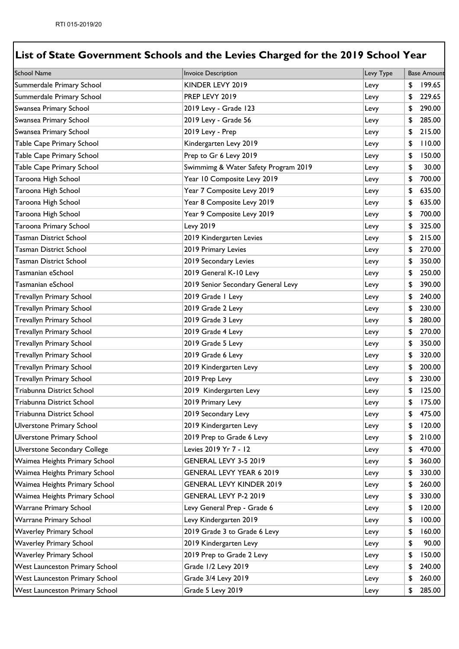| <b>School Name</b>                    | Invoice Description                  | Levy Type | <b>Base Amount</b> |
|---------------------------------------|--------------------------------------|-----------|--------------------|
| Summerdale Primary School             | KINDER LEVY 2019                     | Levy      | \$<br>199.65       |
| Summerdale Primary School             | PREP LEVY 2019                       | Levy      | \$<br>229.65       |
| Swansea Primary School                | 2019 Levy - Grade 123                | Levy      | \$<br>290.00       |
| Swansea Primary School                | 2019 Levy - Grade 56                 | Levy      | \$<br>285.00       |
| Swansea Primary School                | 2019 Levy - Prep                     | Levy      | \$<br>215.00       |
| Table Cape Primary School             | Kindergarten Levy 2019               | Levy      | \$<br>110.00       |
| Table Cape Primary School             | Prep to Gr 6 Levy 2019               | Levy      | \$<br>150.00       |
| Table Cape Primary School             | Swimmimg & Water Safety Program 2019 | Levy      | \$<br>30.00        |
| Taroona High School                   | Year 10 Composite Levy 2019          | Levy      | \$<br>700.00       |
| Taroona High School                   | Year 7 Composite Levy 2019           | Levy      | \$<br>635.00       |
| Taroona High School                   | Year 8 Composite Levy 2019           | Levy      | \$<br>635.00       |
| Taroona High School                   | Year 9 Composite Levy 2019           | Levy      | \$<br>700.00       |
| Taroona Primary School                | Levy 2019                            | Levy      | \$<br>325.00       |
| <b>Tasman District School</b>         | 2019 Kindergarten Levies             | Levy      | \$<br>215.00       |
| <b>Tasman District School</b>         | 2019 Primary Levies                  | Levy      | \$<br>270.00       |
| Tasman District School                | 2019 Secondary Levies                | Levy      | \$<br>350.00       |
| Tasmanian eSchool                     | 2019 General K-10 Levy               | Levy      | \$<br>250.00       |
| Tasmanian eSchool                     | 2019 Senior Secondary General Levy   | Levy      | \$<br>390.00       |
| <b>Trevallyn Primary School</b>       | 2019 Grade I Levy                    | Levy      | \$<br>240.00       |
| Trevallyn Primary School              | 2019 Grade 2 Levy                    | Levy      | \$<br>230.00       |
| <b>Trevallyn Primary School</b>       | 2019 Grade 3 Levy                    | Levy      | \$<br>280.00       |
| Trevallyn Primary School              | 2019 Grade 4 Levy                    | Levy      | \$<br>270.00       |
| Trevallyn Primary School              | 2019 Grade 5 Levy                    | Levy      | \$<br>350.00       |
| Trevallyn Primary School              | 2019 Grade 6 Levy                    | Levy      | \$<br>320.00       |
| Trevallyn Primary School              | 2019 Kindergarten Levy               | Levy      | \$<br>200.00       |
| Trevallyn Primary School              | 2019 Prep Levy                       | Levy      | \$<br>230.00       |
| Triabunna District School             | 2019 Kindergarten Levy               | Levy      | \$<br>125.00       |
| Triabunna District School             | 2019 Primary Levy                    | Levy      | \$<br>175.00       |
| Triabunna District School             | 2019 Secondary Levy                  | Levy      | \$<br>475.00       |
| Ulverstone Primary School             | 2019 Kindergarten Levy               | Levy      | \$<br>120.00       |
| Ulverstone Primary School             | 2019 Prep to Grade 6 Levy            | Levy      | \$<br>210.00       |
| Ulverstone Secondary College          | Levies 2019 Yr 7 - 12                | Levy      | \$<br>470.00       |
| Waimea Heights Primary School         | GENERAL LEVY 3-5 2019                | Levy      | \$<br>360.00       |
| Waimea Heights Primary School         | GENERAL LEVY YEAR 6 2019             | Levy      | \$<br>330.00       |
| Waimea Heights Primary School         | <b>GENERAL LEVY KINDER 2019</b>      | Levy      | \$<br>260.00       |
| Waimea Heights Primary School         | GENERAL LEVY P-2 2019                | Levy      | \$<br>330.00       |
| Warrane Primary School                | Levy General Prep - Grade 6          | Levy      | \$<br>120.00       |
| Warrane Primary School                | Levy Kindergarten 2019               | Levy      | \$<br>100.00       |
| <b>Waverley Primary School</b>        | 2019 Grade 3 to Grade 6 Levy         | Levy      | \$<br>160.00       |
| <b>Waverley Primary School</b>        | 2019 Kindergarten Levy               | Levy      | \$<br>90.00        |
| <b>Waverley Primary School</b>        | 2019 Prep to Grade 2 Levy            | Levy      | \$<br>150.00       |
| <b>West Launceston Primary School</b> | Grade 1/2 Levy 2019                  | Levy      | \$<br>240.00       |
| <b>West Launceston Primary School</b> | Grade 3/4 Levy 2019                  | Levy      | \$<br>260.00       |
| <b>West Launceston Primary School</b> | Grade 5 Levy 2019                    | Levy      | \$<br>285.00       |
|                                       |                                      |           |                    |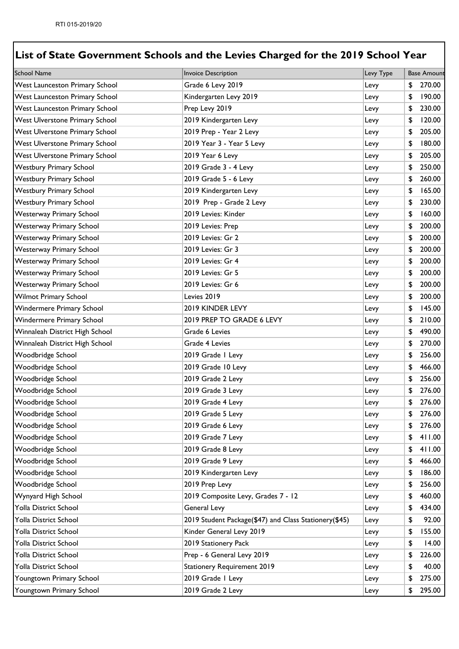| <b>School Name</b>                    | <b>Invoice Description</b>                            | Levy Type | <b>Base Amount</b> |
|---------------------------------------|-------------------------------------------------------|-----------|--------------------|
| <b>West Launceston Primary School</b> | Grade 6 Levy 2019                                     | Levy      | \$<br>270.00       |
| <b>West Launceston Primary School</b> | Kindergarten Levy 2019                                | Levy      | \$<br>190.00       |
| <b>West Launceston Primary School</b> | Prep Levy 2019                                        | Levy      | \$<br>230.00       |
| <b>West Ulverstone Primary School</b> | 2019 Kindergarten Levy                                | Levy      | \$<br>120.00       |
| <b>West Ulverstone Primary School</b> | 2019 Prep - Year 2 Levy                               | Levy      | \$<br>205.00       |
| <b>West Ulverstone Primary School</b> | 2019 Year 3 - Year 5 Levy                             | Levy      | \$<br>180.00       |
| <b>West Ulverstone Primary School</b> | 2019 Year 6 Levy                                      | Levy      | \$<br>205.00       |
| <b>Westbury Primary School</b>        | 2019 Grade 3 - 4 Levy                                 | Levy      | \$<br>250.00       |
| <b>Westbury Primary School</b>        | 2019 Grade 5 - 6 Levy                                 | Levy      | \$<br>260.00       |
| <b>Westbury Primary School</b>        | 2019 Kindergarten Levy                                | Levy      | \$<br>165.00       |
| <b>Westbury Primary School</b>        | 2019 Prep - Grade 2 Levy                              | Levy      | \$<br>230.00       |
| <b>Westerway Primary School</b>       | 2019 Levies: Kinder                                   | Levy      | \$<br>160.00       |
| <b>Westerway Primary School</b>       | 2019 Levies: Prep                                     | Levy      | \$<br>200.00       |
| <b>Westerway Primary School</b>       | 2019 Levies: Gr 2                                     | Levy      | \$<br>200.00       |
| <b>Westerway Primary School</b>       | 2019 Levies: Gr 3                                     | Levy      | \$<br>200.00       |
| <b>Westerway Primary School</b>       | 2019 Levies: Gr 4                                     | Levy      | \$<br>200.00       |
| <b>Westerway Primary School</b>       | 2019 Levies: Gr 5                                     | Levy      | \$<br>200.00       |
| <b>Westerway Primary School</b>       | 2019 Levies: Gr 6                                     | Levy      | \$<br>200.00       |
| <b>Wilmot Primary School</b>          | Levies 2019                                           | Levy      | \$<br>200.00       |
| <b>Windermere Primary School</b>      | 2019 KINDER LEVY                                      | Levy      | \$<br>145.00       |
| <b>Windermere Primary School</b>      | 2019 PREP TO GRADE 6 LEVY                             | Levy      | \$<br>210.00       |
| Winnaleah District High School        | Grade 6 Levies                                        | Levy      | \$<br>490.00       |
| Winnaleah District High School        | Grade 4 Levies                                        | Levy      | \$<br>270.00       |
| Woodbridge School                     | 2019 Grade I Levy                                     | Levy      | \$<br>256.00       |
| Woodbridge School                     | 2019 Grade 10 Levy                                    | Levy      | \$<br>466.00       |
| Woodbridge School                     | 2019 Grade 2 Levy                                     | Levy      | \$<br>256.00       |
| Woodbridge School                     | 2019 Grade 3 Levy                                     | Levy      | \$<br>276.00       |
| Woodbridge School                     | 2019 Grade 4 Levy                                     | Levy      | \$<br>276.00       |
| Woodbridge School                     | 2019 Grade 5 Levy                                     | Levy      | \$<br>276.00       |
| Woodbridge School                     | 2019 Grade 6 Levy                                     | Levy      | \$<br>276.00       |
| Woodbridge School                     | 2019 Grade 7 Levy                                     | Levy      | \$<br>411.00       |
| Woodbridge School                     | 2019 Grade 8 Levy                                     | Levy      | \$<br>411.00       |
| Woodbridge School                     | 2019 Grade 9 Levy                                     | Levy      | \$<br>466.00       |
| Woodbridge School                     | 2019 Kindergarten Levy                                | Levy      | \$<br>186.00       |
| Woodbridge School                     | 2019 Prep Levy                                        | Levy      | \$<br>256.00       |
| Wynyard High School                   | 2019 Composite Levy, Grades 7 - 12                    | Levy      | \$<br>460.00       |
| Yolla District School                 | General Levy                                          | Levy      | \$<br>434.00       |
| Yolla District School                 | 2019 Student Package(\$47) and Class Stationery(\$45) | Levy      | \$<br>92.00        |
| Yolla District School                 | Kinder General Levy 2019                              | Levy      | \$<br>155.00       |
| Yolla District School                 | 2019 Stationery Pack                                  | Levy      | \$<br>14.00        |
| Yolla District School                 | Prep - 6 General Levy 2019                            | Levy      | \$<br>226.00       |
| Yolla District School                 | <b>Stationery Requirement 2019</b>                    | Levy      | \$<br>40.00        |
| Youngtown Primary School              | 2019 Grade I Levy                                     | Levy      | \$<br>275.00       |
| Youngtown Primary School              | 2019 Grade 2 Levy                                     | Levy      | \$<br>295.00       |